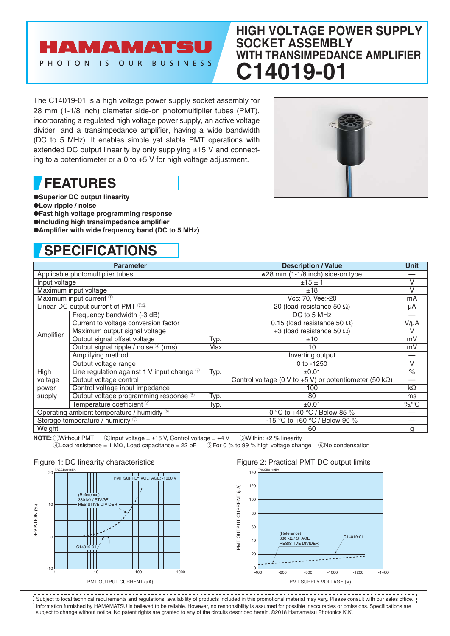### **AMAMATS** PHOTON IS OUR BUSINESS

## **HIGH VOLTAGE POWER SUPPLY SOCKET ASSEMBLY WITH TRANSIMPEDANCE AMPLIFIER C14019-01**

The C14019-01 is a high voltage power supply socket assembly for 28 mm (1-1/8 inch) diameter side-on photomultiplier tubes (PMT), incorporating a regulated high voltage power supply, an active voltage divider, and a transimpedance amplifier, having a wide bandwidth (DC to 5 MHz). It enables simple yet stable PMT operations with extended DC output linearity by only supplying  $\pm 15$  V and connecting to a potentiometer or a 0 to +5 V for high voltage adjustment.

## **FEATURES**

●**Superior DC output linearity** ●**Low ripple / noise** ●**Fast high voltage programming response** ●**Including high transimpedance amplifier**  $\bullet$ **Amplifier with wide frequency band (DC to 5 MHz)** 

# **SPECIFICATIONS**



| <b>Parameter</b>                           |                                                         |      | <b>Description / Value</b>                                      | Unit                 |
|--------------------------------------------|---------------------------------------------------------|------|-----------------------------------------------------------------|----------------------|
| Applicable photomultiplier tubes           |                                                         |      | $\phi$ 28 mm (1-1/8 inch) side-on type                          |                      |
| Input voltage                              |                                                         |      | ±15±1                                                           | $\vee$               |
| Maximum input voltage                      |                                                         |      | ±18                                                             | V                    |
| Maximum input current <sup>1</sup>         |                                                         |      | Vcc: 70, Vee:-20                                                | mA                   |
| Linear DC output current of PMT $23$       |                                                         |      | 20 (load resistance 50 $\Omega$ )                               | μA                   |
| Amplifier                                  | Frequency bandwidth (-3 dB)                             |      | DC to 5 MHz                                                     |                      |
|                                            | Current to voltage conversion factor                    |      | 0.15 (load resistance 50 $\Omega$ )                             | $V/\mu A$            |
|                                            | Maximum output signal voltage                           |      | +3 (load resistance 50 $\Omega$ )                               | V                    |
|                                            | Output signal offset voltage                            | Typ. | ±10                                                             | mV                   |
|                                            | Output signal ripple / noise 4 (rms)                    | Max. | 10                                                              | mV                   |
|                                            | Amplifying method                                       |      | Inverting output                                                |                      |
|                                            | Output voltage range                                    |      | $0$ to -1250                                                    | $\vee$               |
| High                                       | Line regulation against 1 V input change $^{\circledR}$ | Typ. | ±0.01                                                           | $\frac{1}{\sqrt{2}}$ |
| voltage                                    | Output voltage control                                  |      | Control voltage (0 V to +5 V) or potentiometer (50 k $\Omega$ ) |                      |
| power                                      | Control voltage input impedance                         |      | 100                                                             | $k\Omega$            |
| supply                                     | Output voltage programming response 5                   | Typ. | 80                                                              | ms                   |
|                                            | Temperature coefficient <sup>2</sup>                    | Typ. | $\pm 0.01$                                                      | $\%$ /°C             |
| Operating ambient temperature / humidity 6 |                                                         |      | 0 °C to +40 °C / Below 85 %                                     |                      |
| Storage temperature / humidity 6           |                                                         |      | -15 °C to +60 °C / Below 90 %                                   |                      |
| Weight                                     |                                                         |      | 60                                                              | a                    |

**NOTE:**  $\overline{0}$ Without PMT  $\overline{2}$  Input voltage = ±15 V, Control voltage = +4 V  $\overline{3}$  Within: ±2 % linearity (4) Load resistance = 1 M $\Omega$ , Load capacitance = 22 pF  $\overline{3}$  For 0 % to 99 % high voltage chain  $\overline{6}$ For 0 % to 99 % high voltage change  $\overline{6}$ No condensation

#### Figure 1: DC linearity characteristics



#### Figure 2: Practical PMT DC output limits



Information furnished by HAMAMATSU is believed to be reliable. However, no responsibility is assumed for possible inaccuracies or omissions. Specifications are subject to change without notice. No patent rights are granted to any of the circuits described herein. ©2018 Hamamatsu Photonics K.K. Subject to local technical requirements and regulations, availability of products included in this promotional material may vary. Please consult with our sales office.